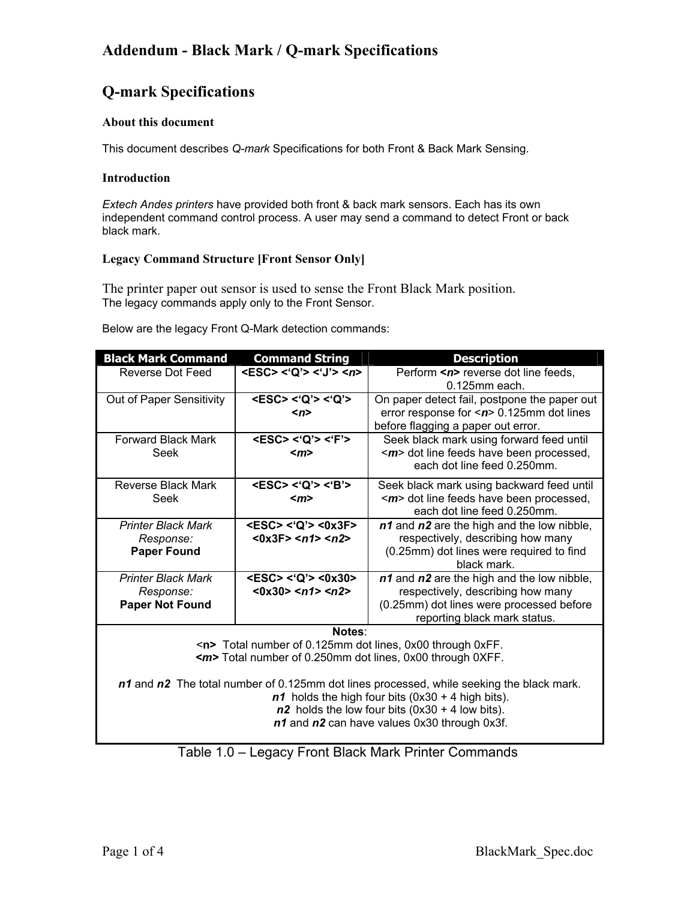## **Addendum - Black Mark / Q-mark Specifications**

# **Q-mark Specifications**

## **About this document**

This document describes *Q-mark* Specifications for both Front & Back Mark Sensing.

### **Introduction**

*Extech Andes printers* have provided both front & back mark sensors. Each has its own independent command control process. A user may send a command to detect Front or back black mark.

### **Legacy Command Structure [Front Sensor Only]**

The printer paper out sensor is used to sense the Front Black Mark position. The legacy commands apply only to the Front Sensor.

Below are the legacy Front Q-Mark detection commands:

| <b>Black Mark Command</b>                                                                                                                                                                                                                                                                                                                                                                                                  | <b>Command String</b>                                                  | <b>Description</b>                                                                                                                                          |  |  |
|----------------------------------------------------------------------------------------------------------------------------------------------------------------------------------------------------------------------------------------------------------------------------------------------------------------------------------------------------------------------------------------------------------------------------|------------------------------------------------------------------------|-------------------------------------------------------------------------------------------------------------------------------------------------------------|--|--|
| <b>Reverse Dot Feed</b>                                                                                                                                                                                                                                                                                                                                                                                                    | $<$ ESC> $<$ 'Q'> $<$ 'J'> $<$ n>                                      | Perform <n> reverse dot line feeds,<br/><math>0.125</math>mm each.</n>                                                                                      |  |  |
| Out of Paper Sensitivity                                                                                                                                                                                                                                                                                                                                                                                                   | <esc> &lt;'Q'&gt; &lt;'Q'&gt;<br/><math>\langle n \rangle</math></esc> | On paper detect fail, postpone the paper out<br>error response for $\leq$ n> 0.125mm dot lines<br>before flagging a paper out error.                        |  |  |
| <b>Forward Black Mark</b><br>Seek                                                                                                                                                                                                                                                                                                                                                                                          | <esc> &lt;'Q'&gt; &lt;'F'&gt;<br/><math>\leq m</math></esc>            | Seek black mark using forward feed until<br><m> dot line feeds have been processed,<br/>each dot line feed 0.250mm.</m>                                     |  |  |
| Reverse Black Mark<br>Seek                                                                                                                                                                                                                                                                                                                                                                                                 | <esc> &lt;'Q'&gt; &lt;'B'&gt;<br/><math>\langle m \rangle</math></esc> | Seek black mark using backward feed until<br>< <i>m</i> > dot line feeds have been processed,<br>each dot line feed 0.250mm.                                |  |  |
| <b>Printer Black Mark</b><br>Response:<br><b>Paper Found</b>                                                                                                                                                                                                                                                                                                                                                               | <esc> &lt;'Q'&gt; &lt;0x3F&gt;<br/>&lt;0x3F&gt;10x3F</esc>             | n1 and n2 are the high and the low nibble,<br>respectively, describing how many<br>(0.25mm) dot lines were required to find<br>black mark.                  |  |  |
| <b>Printer Black Mark</b><br>Response:<br><b>Paper Not Found</b>                                                                                                                                                                                                                                                                                                                                                           | $<$ ESC> $<$ 'Q'> $<$ 0x30><br>$<0x30>125$ $02>$                       | n1 and n2 are the high and the low nibble,<br>respectively, describing how many<br>(0.25mm) dot lines were processed before<br>reporting black mark status. |  |  |
| Notes:<br><n> Total number of 0.125mm dot lines, 0x00 through 0xFF.<br/><m>Total number of 0.250mm dot lines, 0x00 through 0XFF.<br/>n1 and n2 The total number of 0.125mm dot lines processed, while seeking the black mark.<br/><math>n1</math> holds the high four bits (0x30 + 4 high bits).<br/><math>n2</math> holds the low four bits (0x30 + 4 low bits).<br/>n1 and n2 can have values 0x30 through 0x3f.</m></n> |                                                                        |                                                                                                                                                             |  |  |

Table 1.0 – Legacy Front Black Mark Printer Commands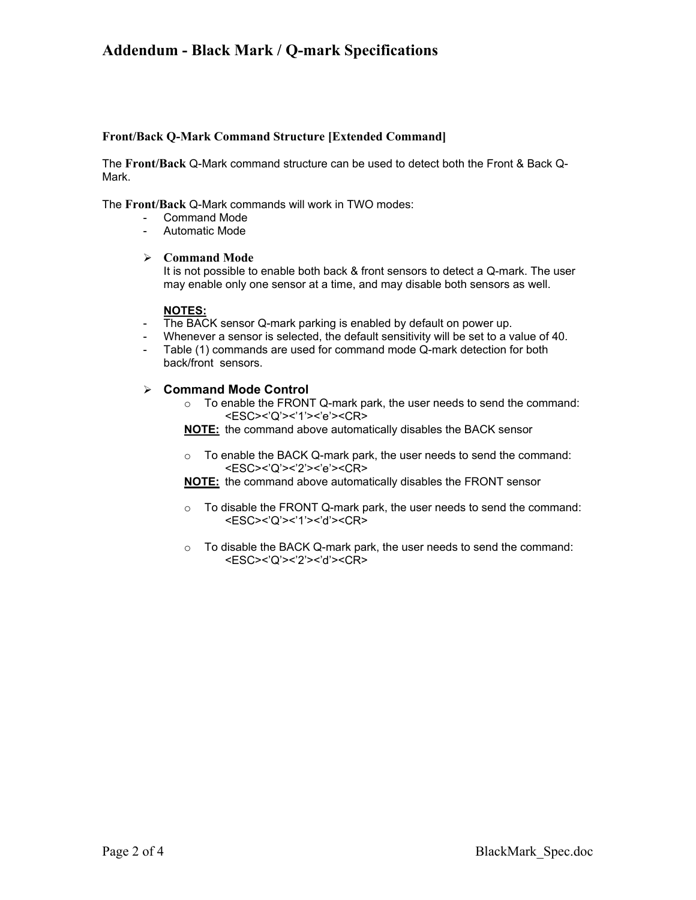## **Addendum - Black Mark / Q-mark Specifications**

#### **Front/Back Q-Mark Command Structure [Extended Command]**

The **Front/Back** Q-Mark command structure can be used to detect both the Front & Back Q-Mark.

The **Front/Back** Q-Mark commands will work in TWO modes:

- Command Mode
- Automatic Mode

#### ¾ **Command Mode**

It is not possible to enable both back & front sensors to detect a Q-mark. The user may enable only one sensor at a time, and may disable both sensors as well.

#### **NOTES:**

- The BACK sensor Q-mark parking is enabled by default on power up.
- Whenever a sensor is selected, the default sensitivity will be set to a value of 40.
- Table (1) commands are used for command mode Q-mark detection for both back/front sensors.

### ¾ **Command Mode Control**

- o To enable the FRONT Q-mark park, the user needs to send the command: <ESC><'Q'><'1'><'e'><CR>
- **NOTE:** the command above automatically disables the BACK sensor
- o To enable the BACK Q-mark park, the user needs to send the command: <ESC><'Q'><'2'><'e'><CR>

**NOTE:** the command above automatically disables the FRONT sensor

- $\circ$  To disable the FRONT Q-mark park, the user needs to send the command: <ESC><'Q'><'1'><'d'><CR>
- o To disable the BACK Q-mark park, the user needs to send the command: <ESC><'Q'><'2'><'d'><CR>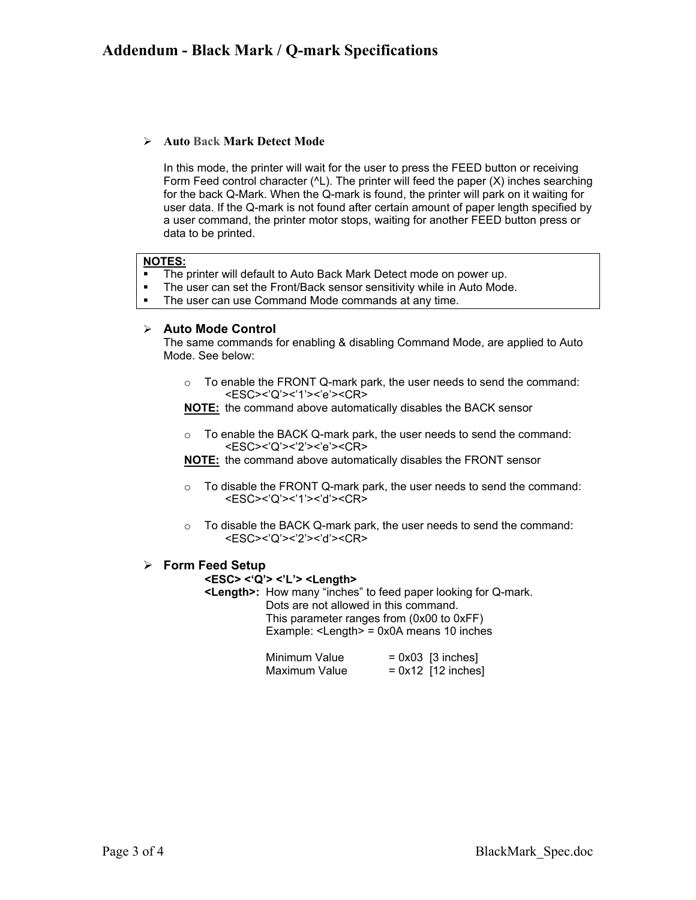## ¾ **Auto Back Mark Detect Mode**

In this mode, the printer will wait for the user to press the FEED button or receiving Form Feed control character (^L). The printer will feed the paper (X) inches searching for the back Q-Mark. When the Q-mark is found, the printer will park on it waiting for user data. If the Q-mark is not found after certain amount of paper length specified by a user command, the printer motor stops, waiting for another FEED button press or data to be printed.

#### **NOTES:**

- The printer will default to Auto Back Mark Detect mode on power up.<br>The user can set the Front/Back sensor sensitivity while in Auto Mode
- The user can set the Front/Back sensor sensitivity while in Auto Mode.
- **The user can use Command Mode commands at any time.**

### ¾ **Auto Mode Control**

The same commands for enabling & disabling Command Mode, are applied to Auto Mode. See below:

 $\circ$  To enable the FRONT Q-mark park, the user needs to send the command: <ESC><'Q'><'1'><'e'><CR>

**NOTE:** the command above automatically disables the BACK sensor

 $\circ$  To enable the BACK Q-mark park, the user needs to send the command: <ESC><'Q'><'2'><'e'><CR>

**NOTE:** the command above automatically disables the FRONT sensor

- $\circ$  To disable the FRONT Q-mark park, the user needs to send the command: <ESC><'Q'><'1'><'d'><CR>
- o To disable the BACK Q-mark park, the user needs to send the command: <ESC><'Q'><'2'><'d'><CR>

### ¾ **Form Feed Setup**

#### **<ESC> <'Q'> <'L'> <Length>**

**<Length>:** How many "inches" to feed paper looking for Q-mark. Dots are not allowed in this command. This parameter ranges from (0x00 to 0xFF) Example: <Length> = 0x0A means 10 inches

| Minimum Value | $= 0x03$ [3 inches]  |
|---------------|----------------------|
| Maximum Value | $= 0x12$ [12 inches] |